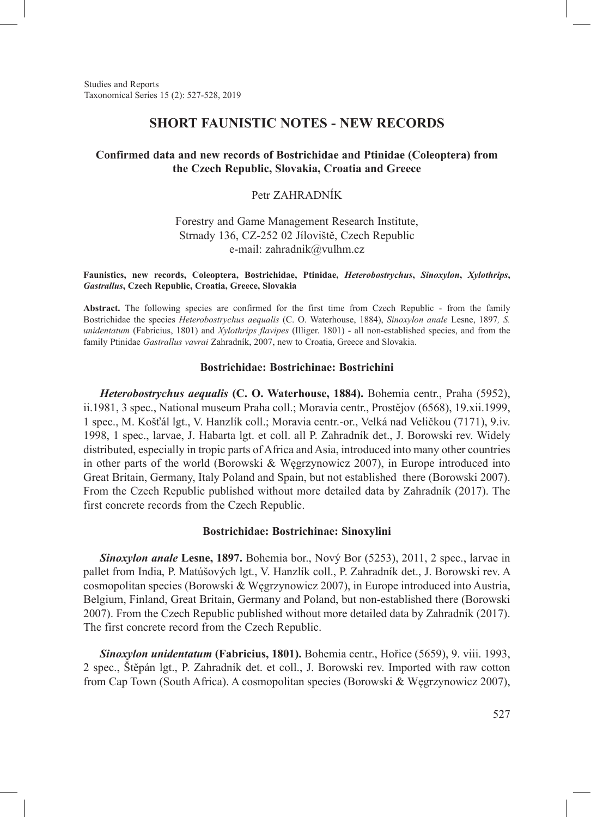Studies and Reports Taxonomical Series 15 (2): 527-528, 2019

## **SHORT FAUNISTIC NOTES - NEW RECORDS**

### **Confirmed data and new records of Bostrichidae and Ptinidae (Coleoptera) from the Czech Republic, Slovakia, Croatia and Greece**

# Petr ZAHRADNÍK

## Forestry and Game Management Research Institute, Strnady 136, CZ-252 02 Jíloviště, Czech Republic e-mail: zahradnik@vulhm.cz

#### **Faunistics, new records, Coleoptera, Bostrichidae, Ptinidae,** *Heterobostrychus***,** *Sinoxylon***,** *Xylothrips***,**  *Gastrallus***, Czech Republic, Croatia, Greece, Slovakia**

**Abstract.** The following species are confirmed for the first time from Czech Republic - from the family Bostrichidae the species *Heterobostrychus aequalis* (C. O. Waterhouse, 1884), *Sinoxylon anale* Lesne, 1897*, S. unidentatum* (Fabricius, 1801) and *Xylothrips flavipes* (Illiger. 1801) - all non-established species, and from the family Ptinidae *Gastrallus vavrai* Zahradník, 2007, new to Croatia, Greece and Slovakia.

### **Bostrichidae: Bostrichinae: Bostrichini**

*Heterobostrychus aequalis* **(C. O. Waterhouse, 1884).** Bohemia centr., Praha (5952), ii.1981, 3 spec., National museum Praha coll.; Moravia centr., Prostějov (6568), 19.xii.1999, 1 spec., M. Košťál lgt., V. Hanzlík coll.; Moravia centr.-or., Velká nad Veličkou (7171), 9.iv. 1998, 1 spec., larvae, J. Habarta lgt. et coll. all P. Zahradník det., J. Borowski rev. Widely distributed, especially in tropic parts of Africa and Asia, introduced into many other countries in other parts of the world (Borowski & Węgrzynowicz 2007), in Europe introduced into Great Britain, Germany, Italy Poland and Spain, but not established there (Borowski 2007). From the Czech Republic published without more detailed data by Zahradník (2017). The first concrete records from the Czech Republic.

### **Bostrichidae: Bostrichinae: Sinoxylini**

*Sinoxylon anale* **Lesne, 1897.** Bohemia bor., Nový Bor (5253), 2011, 2 spec., larvae in pallet from India, P. Matúšových lgt., V. Hanzlík coll., P. Zahradník det., J. Borowski rev. A cosmopolitan species (Borowski & Węgrzynowicz 2007), in Europe introduced into Austria, Belgium, Finland, Great Britain, Germany and Poland, but non-established there (Borowski 2007). From the Czech Republic published without more detailed data by Zahradník (2017). The first concrete record from the Czech Republic.

*Sinoxylon unidentatum* **(Fabricius, 1801).** Bohemia centr., Hořice (5659), 9. viii. 1993, 2 spec., Štěpán lgt., P. Zahradník det. et coll., J. Borowski rev. Imported with raw cotton from Cap Town (South Africa). A cosmopolitan species (Borowski & Węgrzynowicz 2007),